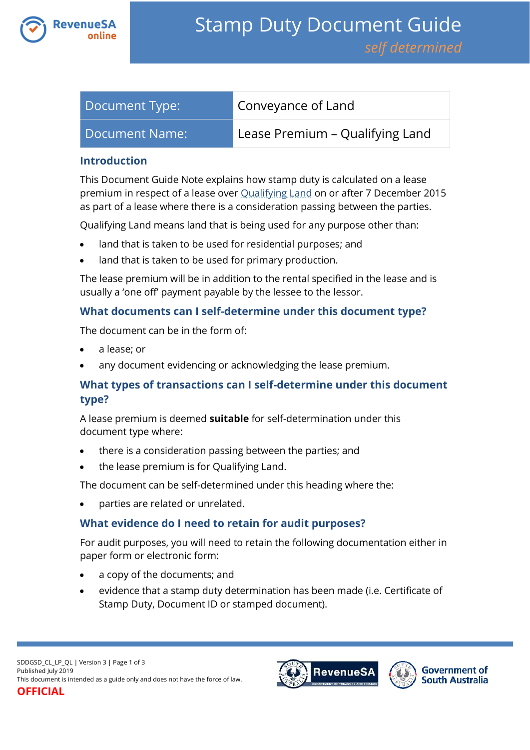

| Document Type:   | Conveyance of Land              |
|------------------|---------------------------------|
| Document Name: I | Lease Premium - Qualifying Land |

#### **Introduction**

This Document Guide Note explains how stamp duty is calculated on a lease premium in respect of a lease over [Qualifying Land](https://www.revenuesa.sa.gov.au/stampduty/stamp-duty-document-guide#Qualifying) on or after 7 December 2015 as part of a lease where there is a consideration passing between the parties.

Qualifying Land means land that is being used for any purpose other than:

- land that is taken to be used for residential purposes; and
- land that is taken to be used for primary production.

The lease premium will be in addition to the rental specified in the lease and is usually a 'one off' payment payable by the lessee to the lessor.

### **What documents can I self-determine under this document type?**

The document can be in the form of:

- a lease; or
- any document evidencing or acknowledging the lease premium.

## **What types of transactions can I self-determine under this document type?**

A lease premium is deemed **suitable** for self-determination under this document type where:

- there is a consideration passing between the parties; and
- the lease premium is for Qualifying Land.

The document can be self-determined under this heading where the:

parties are related or unrelated.

## **What evidence do I need to retain for audit purposes?**

For audit purposes, you will need to retain the following documentation either in paper form or electronic form:

- a copy of the documents; and
- evidence that a stamp duty determination has been made (i.e. Certificate of Stamp Duty, Document ID or stamped document).



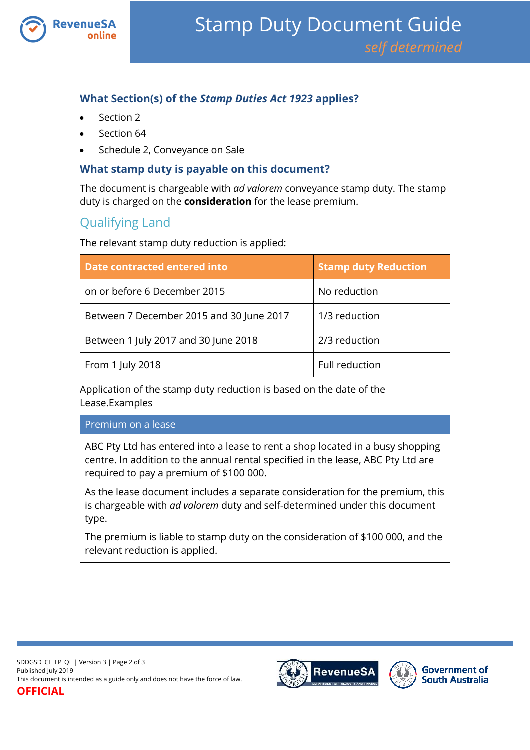

## **What Section(s) of the** *Stamp Duties Act 1923* **applies?**

- Section 2
- Section 64
- Schedule 2, Conveyance on Sale

#### **What stamp duty is payable on this document?**

The document is chargeable with *ad valorem* conveyance stamp duty. The stamp duty is charged on the **consideration** for the lease premium.

# Qualifying Land

The relevant stamp duty reduction is applied:

| Date contracted entered into             | <b>Stamp duty Reduction</b> |
|------------------------------------------|-----------------------------|
| on or before 6 December 2015             | No reduction                |
| Between 7 December 2015 and 30 June 2017 | 1/3 reduction               |
| Between 1 July 2017 and 30 June 2018     | 2/3 reduction               |
| From 1 July 2018                         | Full reduction              |

Application of the stamp duty reduction is based on the date of the Lease.Examples

#### Premium on a lease

ABC Pty Ltd has entered into a lease to rent a shop located in a busy shopping centre. In addition to the annual rental specified in the lease, ABC Pty Ltd are required to pay a premium of \$100 000.

As the lease document includes a separate consideration for the premium, this is chargeable with *ad valorem* duty and self-determined under this document type.

The premium is liable to stamp duty on the consideration of \$100 000, and the relevant reduction is applied.